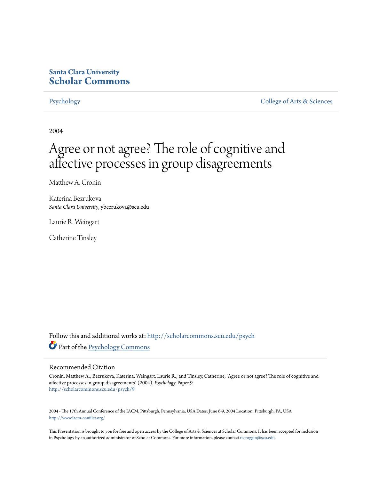### **Santa Clara University [Scholar Commons](http://scholarcommons.scu.edu?utm_source=scholarcommons.scu.edu%2Fpsych%2F9&utm_medium=PDF&utm_campaign=PDFCoverPages)**

[Psychology](http://scholarcommons.scu.edu/psych?utm_source=scholarcommons.scu.edu%2Fpsych%2F9&utm_medium=PDF&utm_campaign=PDFCoverPages) [College of Arts & Sciences](http://scholarcommons.scu.edu/cas?utm_source=scholarcommons.scu.edu%2Fpsych%2F9&utm_medium=PDF&utm_campaign=PDFCoverPages)

2004

# Agree or not agree? The role of cognitive and affective processes in group disagreements

Matthew A. Cronin

Katerina Bezrukova *Santa Clara University*, ybezrukova@scu.edu

Laurie R. Weingart

Catherine Tinsley

Follow this and additional works at: [http://scholarcommons.scu.edu/psych](http://scholarcommons.scu.edu/psych?utm_source=scholarcommons.scu.edu%2Fpsych%2F9&utm_medium=PDF&utm_campaign=PDFCoverPages) Part of the [Psychology Commons](http://network.bepress.com/hgg/discipline/404?utm_source=scholarcommons.scu.edu%2Fpsych%2F9&utm_medium=PDF&utm_campaign=PDFCoverPages)

#### Recommended Citation

Cronin, Matthew A.; Bezrukova, Katerina; Weingart, Laurie R.; and Tinsley, Catherine, "Agree or not agree? The role of cognitive and affective processes in group disagreements" (2004). *Psychology.* Paper 9. [http://scholarcommons.scu.edu/psych/9](http://scholarcommons.scu.edu/psych/9?utm_source=scholarcommons.scu.edu%2Fpsych%2F9&utm_medium=PDF&utm_campaign=PDFCoverPages)

2004 - The 17th Annual Conference of the IACM, Pittsburgh, Pennsylvania, USA Dates: June 6-9, 2004 Location: Pittsburgh, PA, USA <http://www.iacm-conflict.org/>

This Presentation is brought to you for free and open access by the College of Arts & Sciences at Scholar Commons. It has been accepted for inclusion in Psychology by an authorized administrator of Scholar Commons. For more information, please contact [rscroggin@scu.edu.](mailto:rscroggin@scu.edu)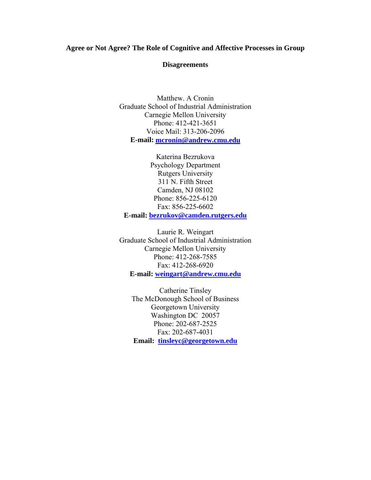#### **Agree or Not Agree? The Role of Cognitive and Affective Processes in Group**

#### **Disagreements**

Matthew. A Cronin Graduate School of Industrial Administration Carnegie Mellon University Phone: 412-421-3651 Voice Mail: 313-206-2096 **E-mail: [mcronin@andrew.cmu.edu](mailto:weingart@andrew.cmu.edu)**

Katerina Bezrukova Psychology Department Rutgers University 311 N. Fifth Street Camden, NJ 08102 Phone: 856-225-6120 Fax: 856-225-6602 **E-mail: [bezrukov@camden.rutgers.edu](mailto:bezrukov@camden.rutgers.edu)**

Laurie R. Weingart Graduate School of Industrial Administration Carnegie Mellon University Phone: 412-268-7585 Fax: 412-268-6920 **E-mail: [weingart@andrew.cmu.edu](mailto:weingart@andrew.cmu.edu)**

Catherine Tinsley The McDonough School of Business Georgetown University Washington DC 20057 Phone: 202-687-2525 Fax: 202-687-4031 **Email: [tinsleyc@georgetown.edu](mailto:tinsleyc@georgetown.edu)**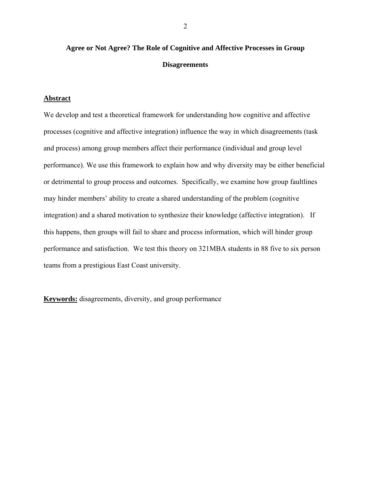# **Agree or Not Agree? The Role of Cognitive and Affective Processes in Group Disagreements**

#### **Abstract**

We develop and test a theoretical framework for understanding how cognitive and affective processes (cognitive and affective integration) influence the way in which disagreements (task and process) among group members affect their performance (individual and group level performance). We use this framework to explain how and why diversity may be either beneficial or detrimental to group process and outcomes. Specifically, we examine how group faultlines may hinder members' ability to create a shared understanding of the problem (cognitive integration) and a shared motivation to synthesize their knowledge (affective integration). If this happens, then groups will fail to share and process information, which will hinder group performance and satisfaction. We test this theory on 321MBA students in 88 five to six person teams from a prestigious East Coast university.

**Keywords:** disagreements, diversity, and group performance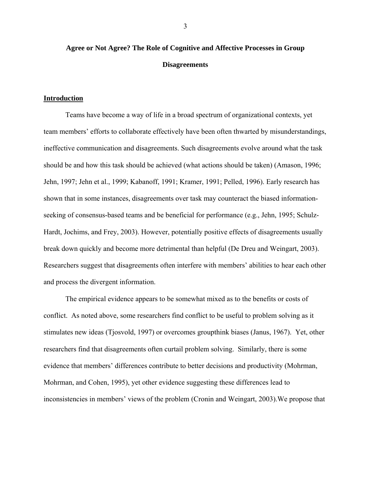## **Agree or Not Agree? The Role of Cognitive and Affective Processes in Group Disagreements**

#### **Introduction**

Teams have become a way of life in a broad spectrum of organizational contexts, yet team members' efforts to collaborate effectively have been often thwarted by misunderstandings, ineffective communication and disagreements. Such disagreements evolve around what the task should be and how this task should be achieved (what actions should be taken) (Amason, 1996; Jehn, 1997; Jehn et al., 1999; Kabanoff, 1991; Kramer, 1991; Pelled, 1996). Early research has shown that in some instances, disagreements over task may counteract the biased informationseeking of consensus-based teams and be beneficial for performance (e.g., Jehn, 1995; Schulz-Hardt, Jochims, and Frey, 2003). However, potentially positive effects of disagreements usually break down quickly and become more detrimental than helpful (De Dreu and Weingart, 2003). Researchers suggest that disagreements often interfere with members' abilities to hear each other and process the divergent information.

The empirical evidence appears to be somewhat mixed as to the benefits or costs of conflict. As noted above, some researchers find conflict to be useful to problem solving as it stimulates new ideas (Tjosvold, 1997) or overcomes groupthink biases (Janus, 1967). Yet, other researchers find that disagreements often curtail problem solving. Similarly, there is some evidence that members' differences contribute to better decisions and productivity (Mohrman, Mohrman, and Cohen, 1995), yet other evidence suggesting these differences lead to inconsistencies in members' views of the problem (Cronin and Weingart, 2003).We propose that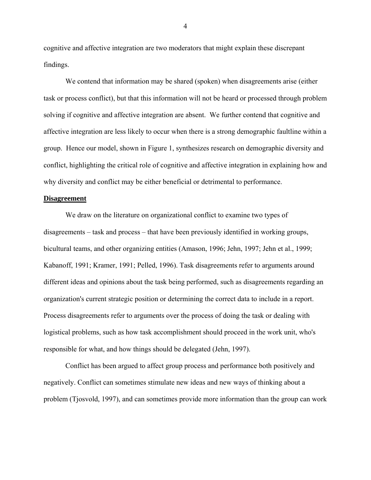cognitive and affective integration are two moderators that might explain these discrepant findings.

We contend that information may be shared (spoken) when disagreements arise (either task or process conflict), but that this information will not be heard or processed through problem solving if cognitive and affective integration are absent. We further contend that cognitive and affective integration are less likely to occur when there is a strong demographic faultline within a group. Hence our model, shown in Figure 1, synthesizes research on demographic diversity and conflict, highlighting the critical role of cognitive and affective integration in explaining how and why diversity and conflict may be either beneficial or detrimental to performance.

#### **Disagreement**

We draw on the literature on organizational conflict to examine two types of disagreements – task and process – that have been previously identified in working groups, bicultural teams, and other organizing entities (Amason, 1996; Jehn, 1997; Jehn et al., 1999; Kabanoff, 1991; Kramer, 1991; Pelled, 1996). Task disagreements refer to arguments around different ideas and opinions about the task being performed, such as disagreements regarding an organization's current strategic position or determining the correct data to include in a report. Process disagreements refer to arguments over the process of doing the task or dealing with logistical problems, such as how task accomplishment should proceed in the work unit, who's responsible for what, and how things should be delegated (Jehn, 1997).

Conflict has been argued to affect group process and performance both positively and negatively. Conflict can sometimes stimulate new ideas and new ways of thinking about a problem (Tjosvold, 1997), and can sometimes provide more information than the group can work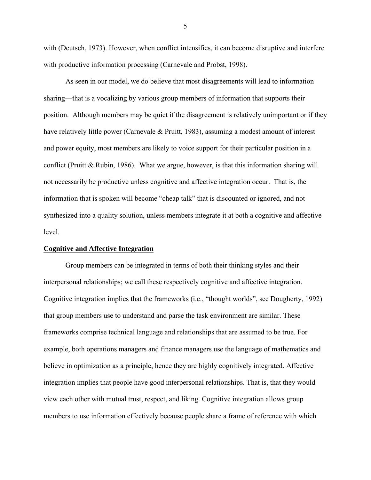with (Deutsch, 1973). However, when conflict intensifies, it can become disruptive and interfere with productive information processing (Carnevale and Probst, 1998).

As seen in our model, we do believe that most disagreements will lead to information sharing—that is a vocalizing by various group members of information that supports their position. Although members may be quiet if the disagreement is relatively unimportant or if they have relatively little power (Carnevale & Pruitt, 1983), assuming a modest amount of interest and power equity, most members are likely to voice support for their particular position in a conflict (Pruitt & Rubin, 1986). What we argue, however, is that this information sharing will not necessarily be productive unless cognitive and affective integration occur. That is, the information that is spoken will become "cheap talk" that is discounted or ignored, and not synthesized into a quality solution, unless members integrate it at both a cognitive and affective level.

#### **Cognitive and Affective Integration**

Group members can be integrated in terms of both their thinking styles and their interpersonal relationships; we call these respectively cognitive and affective integration. Cognitive integration implies that the frameworks (i.e., "thought worlds", see Dougherty, 1992) that group members use to understand and parse the task environment are similar. These frameworks comprise technical language and relationships that are assumed to be true. For example, both operations managers and finance managers use the language of mathematics and believe in optimization as a principle, hence they are highly cognitively integrated. Affective integration implies that people have good interpersonal relationships. That is, that they would view each other with mutual trust, respect, and liking. Cognitive integration allows group members to use information effectively because people share a frame of reference with which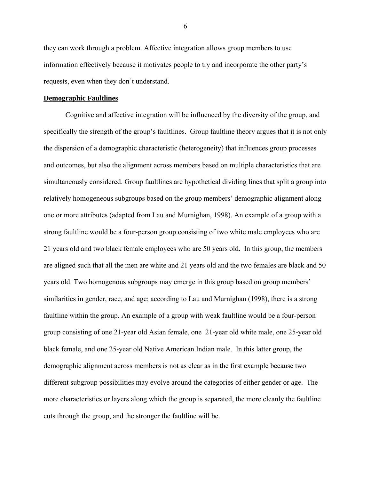they can work through a problem. Affective integration allows group members to use information effectively because it motivates people to try and incorporate the other party's requests, even when they don't understand.

#### **Demographic Faultlines**

Cognitive and affective integration will be influenced by the diversity of the group, and specifically the strength of the group's faultlines. Group faultline theory argues that it is not only the dispersion of a demographic characteristic (heterogeneity) that influences group processes and outcomes, but also the alignment across members based on multiple characteristics that are simultaneously considered. Group faultlines are hypothetical dividing lines that split a group into relatively homogeneous subgroups based on the group members' demographic alignment along one or more attributes (adapted from Lau and Murnighan, 1998). An example of a group with a strong faultline would be a four-person group consisting of two white male employees who are 21 years old and two black female employees who are 50 years old. In this group, the members are aligned such that all the men are white and 21 years old and the two females are black and 50 years old. Two homogenous subgroups may emerge in this group based on group members' similarities in gender, race, and age; according to Lau and Murnighan (1998), there is a strong faultline within the group. An example of a group with weak faultline would be a four-person group consisting of one 21-year old Asian female, one 21-year old white male, one 25-year old black female, and one 25-year old Native American Indian male. In this latter group, the demographic alignment across members is not as clear as in the first example because two different subgroup possibilities may evolve around the categories of either gender or age. The more characteristics or layers along which the group is separated, the more cleanly the faultline cuts through the group, and the stronger the faultline will be.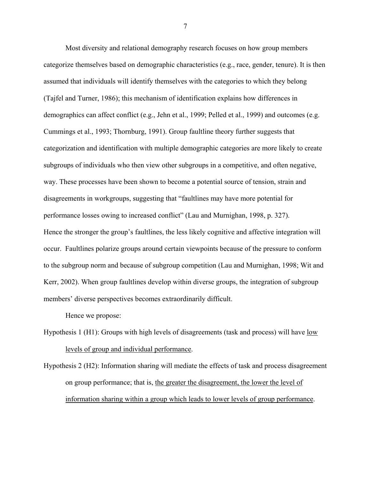Most diversity and relational demography research focuses on how group members categorize themselves based on demographic characteristics (e.g., race, gender, tenure). It is then assumed that individuals will identify themselves with the categories to which they belong (Tajfel and Turner, 1986); this mechanism of identification explains how differences in demographics can affect conflict (e.g., Jehn et al., 1999; Pelled et al., 1999) and outcomes (e.g. Cummings et al., 1993; Thornburg, 1991). Group faultline theory further suggests that categorization and identification with multiple demographic categories are more likely to create subgroups of individuals who then view other subgroups in a competitive, and often negative, way. These processes have been shown to become a potential source of tension, strain and disagreements in workgroups, suggesting that "faultlines may have more potential for performance losses owing to increased conflict" (Lau and Murnighan, 1998, p. 327). Hence the stronger the group's faultlines, the less likely cognitive and affective integration will occur. Faultlines polarize groups around certain viewpoints because of the pressure to conform to the subgroup norm and because of subgroup competition (Lau and Murnighan, 1998; Wit and Kerr, 2002). When group faultlines develop within diverse groups, the integration of subgroup members' diverse perspectives becomes extraordinarily difficult.

Hence we propose:

Hypothesis 1 (H1): Groups with high levels of disagreements (task and process) will have low levels of group and individual performance.

Hypothesis 2 (H2): Information sharing will mediate the effects of task and process disagreement on group performance; that is, the greater the disagreement, the lower the level of information sharing within a group which leads to lower levels of group performance.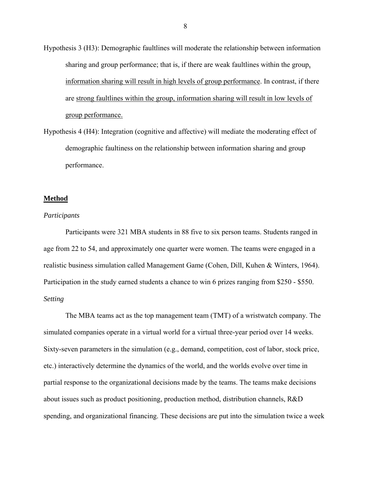- Hypothesis 3 (H3): Demographic faultlines will moderate the relationship between information sharing and group performance; that is, if there are weak faultlines within the group, information sharing will result in high levels of group performance. In contrast, if there are strong faultlines within the group, information sharing will result in low levels of group performance.
- Hypothesis 4 (H4): Integration (cognitive and affective) will mediate the moderating effect of demographic faultiness on the relationship between information sharing and group performance.

#### **Method**

#### *Participants*

 Participants were 321 MBA students in 88 five to six person teams. Students ranged in age from 22 to 54, and approximately one quarter were women. The teams were engaged in a realistic business simulation called Management Game (Cohen, Dill, Kuhen & Winters, 1964). Participation in the study earned students a chance to win 6 prizes ranging from \$250 - \$550. *Setting* 

 The MBA teams act as the top management team (TMT) of a wristwatch company. The simulated companies operate in a virtual world for a virtual three-year period over 14 weeks. Sixty-seven parameters in the simulation (e.g., demand, competition, cost of labor, stock price, etc.) interactively determine the dynamics of the world, and the worlds evolve over time in partial response to the organizational decisions made by the teams. The teams make decisions about issues such as product positioning, production method, distribution channels, R&D spending, and organizational financing. These decisions are put into the simulation twice a week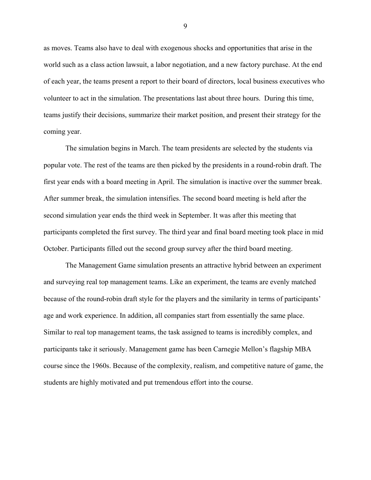as moves. Teams also have to deal with exogenous shocks and opportunities that arise in the world such as a class action lawsuit, a labor negotiation, and a new factory purchase. At the end of each year, the teams present a report to their board of directors, local business executives who volunteer to act in the simulation. The presentations last about three hours. During this time, teams justify their decisions, summarize their market position, and present their strategy for the coming year.

 The simulation begins in March. The team presidents are selected by the students via popular vote. The rest of the teams are then picked by the presidents in a round-robin draft. The first year ends with a board meeting in April. The simulation is inactive over the summer break. After summer break, the simulation intensifies. The second board meeting is held after the second simulation year ends the third week in September. It was after this meeting that participants completed the first survey. The third year and final board meeting took place in mid October. Participants filled out the second group survey after the third board meeting.

 The Management Game simulation presents an attractive hybrid between an experiment and surveying real top management teams. Like an experiment, the teams are evenly matched because of the round-robin draft style for the players and the similarity in terms of participants' age and work experience. In addition, all companies start from essentially the same place. Similar to real top management teams, the task assigned to teams is incredibly complex, and participants take it seriously. Management game has been Carnegie Mellon's flagship MBA course since the 1960s. Because of the complexity, realism, and competitive nature of game, the students are highly motivated and put tremendous effort into the course.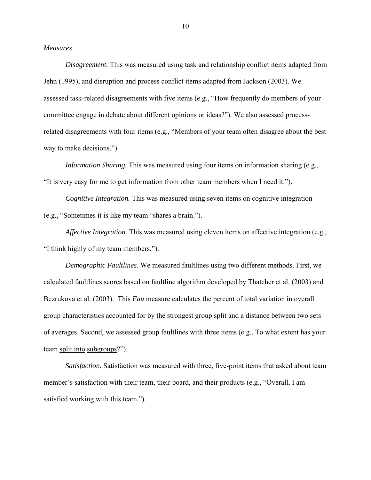#### *Measures*

*Disagreement.* This was measured using task and relationship conflict items adapted from Jehn (1995), and disruption and process conflict items adapted from Jackson (2003). We assessed task-related disagreements with five items (e.g., "How frequently do members of your committee engage in debate about different opinions or ideas?"). We also assessed processrelated disagreements with four items (e.g., "Members of your team often disagree about the best way to make decisions.").

*Information Sharing.* This was measured using four items on information sharing (e.g., "It is very easy for me to get information from other team members when I need it.").

*Cognitive Integration.* This was measured using seven items on cognitive integration (e.g., "Sometimes it is like my team "shares a brain.").

*Affective Integration.* This was measured using eleven items on affective integration (e.g., "I think highly of my team members.").

*Demographic Faultlines*. We measured faultlines using two different methods. First, we calculated faultlines scores based on faultline algorithm developed by Thatcher et al. (2003) and Bezrukova et al. (2003). This *Fau* measure calculates the percent of total variation in overall group characteristics accounted for by the strongest group split and a distance between two sets of averages. Second, we assessed group faultlines with three items (e.g., To what extent has your team split into subgroups?").

*Satisfaction.* Satisfaction was measured with three, five-point items that asked about team member's satisfaction with their team, their board, and their products (e.g., "Overall, I am satisfied working with this team.").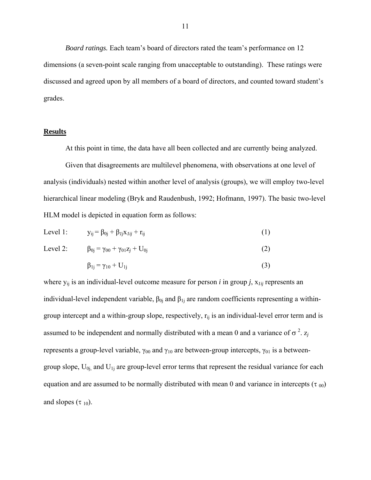*Board ratings.* Each team's board of directors rated the team's performance on 12 dimensions (a seven-point scale ranging from unacceptable to outstanding). These ratings were discussed and agreed upon by all members of a board of directors, and counted toward student's grades.

#### **Results**

At this point in time, the data have all been collected and are currently being analyzed.

Given that disagreements are multilevel phenomena, with observations at one level of analysis (individuals) nested within another level of analysis (groups), we will employ two-level hierarchical linear modeling (Bryk and Raudenbush, 1992; Hofmann, 1997). The basic two-level HLM model is depicted in equation form as follows:

Level 1: 
$$
y_{ij} = \beta_{0j} + \beta_{Ij}x_{Iij} + r_{ij}
$$
 (1)

Level 2: 
$$
\beta_{0j} = \gamma_{00} + \gamma_{01} z_j + U_{0j}
$$
 (2)

$$
\beta_{1j} = \gamma_{10} + U_{1j} \tag{3}
$$

where  $y_{ij}$  is an individual-level outcome measure for person *i* in group *j*,  $x_{1ij}$  represents an individual-level independent variable,  $β_{0j}$  and  $β_{1j}$  are random coefficients representing a withingroup intercept and a within-group slope, respectively,  $r_{ii}$  is an individual-level error term and is assumed to be independent and normally distributed with a mean 0 and a variance of  $\sigma^2$ .  $z_j$ represents a group-level variable,  $\gamma_{00}$  and  $\gamma_{10}$  are between-group intercepts,  $\gamma_{01}$  is a betweengroup slope,  $U_{0i}$  and  $U_{1i}$  are group-level error terms that represent the residual variance for each equation and are assumed to be normally distributed with mean 0 and variance in intercepts ( $\tau_{00}$ ) and slopes  $(\tau_{10})$ .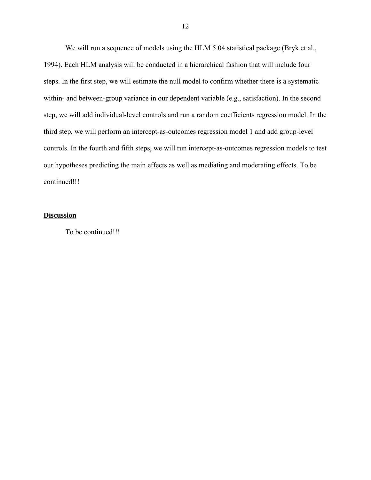We will run a sequence of models using the HLM 5.04 statistical package (Bryk et al., 1994). Each HLM analysis will be conducted in a hierarchical fashion that will include four steps. In the first step, we will estimate the null model to confirm whether there is a systematic within- and between-group variance in our dependent variable (e.g., satisfaction). In the second step, we will add individual-level controls and run a random coefficients regression model. In the third step, we will perform an intercept-as-outcomes regression model 1 and add group-level controls. In the fourth and fifth steps, we will run intercept-as-outcomes regression models to test our hypotheses predicting the main effects as well as mediating and moderating effects. To be continued!!!

#### **Discussion**

To be continued!!!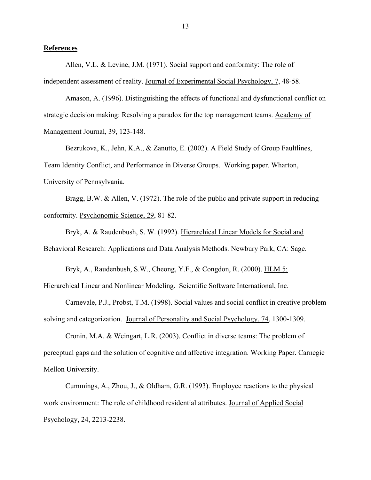#### **References**

Allen, V.L. & Levine, J.M. (1971). Social support and conformity: The role of independent assessment of reality. Journal of Experimental Social Psychology, 7, 48-58.

Amason, A. (1996). Distinguishing the effects of functional and dysfunctional conflict on strategic decision making: Resolving a paradox for the top management teams. Academy of Management Journal, 39, 123-148.

Bezrukova, K., Jehn, K.A., & Zanutto, E. (2002). A Field Study of Group Faultlines, Team Identity Conflict, and Performance in Diverse Groups. Working paper. Wharton, University of Pennsylvania.

Bragg, B.W. & Allen, V. (1972). The role of the public and private support in reducing conformity. Psychonomic Science, 29, 81-82.

Bryk, A. & Raudenbush, S. W. (1992). Hierarchical Linear Models for Social and Behavioral Research: Applications and Data Analysis Methods. Newbury Park, CA: Sage.

Bryk, A., Raudenbush, S.W., Cheong, Y.F., & Congdon, R. (2000). HLM 5:

Hierarchical Linear and Nonlinear Modeling. Scientific Software International, Inc.

Carnevale, P.J., Probst, T.M. (1998). Social values and social conflict in creative problem solving and categorization. Journal of Personality and Social Psychology, 74, 1300-1309.

 Cronin, M.A. & Weingart, L.R. (2003). Conflict in diverse teams: The problem of perceptual gaps and the solution of cognitive and affective integration. Working Paper*.* Carnegie Mellon University.

Cummings, A., Zhou, J., & Oldham, G.R. (1993). Employee reactions to the physical work environment: The role of childhood residential attributes. Journal of Applied Social Psychology, 24, 2213-2238.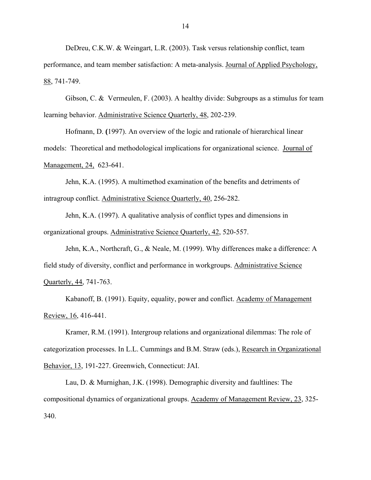DeDreu, C.K.W. & Weingart, L.R. (2003). Task versus relationship conflict, team performance, and team member satisfaction: A meta-analysis. Journal of Applied Psychology, 88, 741-749.

Gibson, C. & Vermeulen, F. (2003). A healthy divide: Subgroups as a stimulus for team learning behavior. Administrative Science Quarterly, 48, 202-239.

Hofmann, D. **(**1997). An overview of the logic and rationale of hierarchical linear models: Theoretical and methodological implications for organizational science. Journal of Management, 24, 623-641.

Jehn, K.A. (1995). A multimethod examination of the benefits and detriments of intragroup conflict. Administrative Science Quarterly, 40, 256-282.

 Jehn, K.A. (1997). A qualitative analysis of conflict types and dimensions in organizational groups. Administrative Science Quarterly, 42, 520-557.

Jehn, K.A., Northcraft, G., & Neale, M. (1999). Why differences make a difference: A field study of diversity, conflict and performance in workgroups. Administrative Science Quarterly, 44, 741-763.

Kabanoff, B. (1991). Equity, equality, power and conflict. Academy of Management Review, 16, 416-441.

 Kramer, R.M. (1991). Intergroup relations and organizational dilemmas: The role of categorization processes. In L.L. Cummings and B.M. Straw (eds.), Research in Organizational Behavior, 13, 191-227. Greenwich, Connecticut: JAI.

 Lau, D. & Murnighan, J.K. (1998). Demographic diversity and faultlines: The compositional dynamics of organizational groups. Academy of Management Review, 23, 325- 340.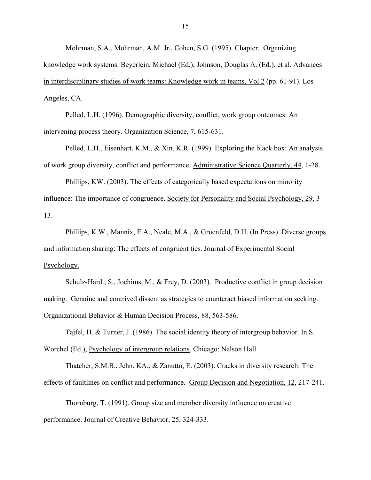Mohrman, S.A., Mohrman, A.M. Jr., Cohen, S.G. (1995). Chapter. Organizing knowledge work systems. Beyerlein, Michael (Ed.), Johnson, Douglas A. (Ed.), et al. Advances in interdisciplinary studies of work teams: Knowledge work in teams, Vol 2 (pp. 61-91). Los Angeles, CA.

Pelled, L.H. (1996). Demographic diversity, conflict, work group outcomes: An intervening process theory. Organization Science, 7, 615-631.

 Pelled, L.H., Eisenhart, K.M., & Xin, K.R. (1999). Exploring the black box: An analysis of work group diversity, conflict and performance. Administrative Science Quarterly, 44, 1-28.

Phillips, KW. (2003). The effects of categorically based expectations on minority influence: The importance of congruence. Society for Personality and Social Psychology, 29, 3- 13.

Phillips, K.W., Mannix, E.A., Neale, M.A., & Gruenfeld, D.H. (In Press). Diverse groups and information sharing: The effects of congruent ties. Journal of Experimental Social Psychology.

Schulz-Hardt, S., Jochims, M., & Frey, D. (2003). Productive conflict in group decision making. Genuine and contrived dissent as strategies to counteract biased information seeking. Organizational Behavior & Human Decision Process, 88, 563-586.

 Tajfel, H. & Turner, J. (1986). The social identity theory of intergroup behavior. In S. Worchel (Ed.), Psychology of intergroup relations*.* Chicago: Nelson Hall.

Thatcher, S.M.B., Jehn, KA., & Zanutto, E. (2003). Cracks in diversity research: The effects of faultlines on conflict and performance. Group Decision and Negotiation, 12, 217-241.

Thornburg, T. (1991). Group size and member diversity influence on creative performance. Journal of Creative Behavior, 25, 324-333.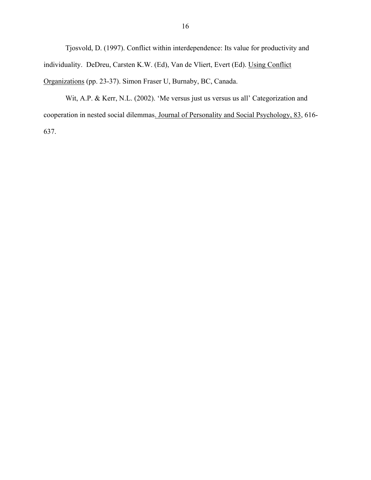Tjosvold, D. (1997). Conflict within interdependence: Its value for productivity and individuality. DeDreu, Carsten K.W. (Ed), Van de Vliert, Evert (Ed). Using Conflict Organizations (pp. 23-37). Simon Fraser U, Burnaby, BC, Canada.

 Wit, A.P. & Kerr, N.L. (2002). 'Me versus just us versus us all' Categorization and cooperation in nested social dilemmas. Journal of Personality and Social Psychology, 83, 616- 637.